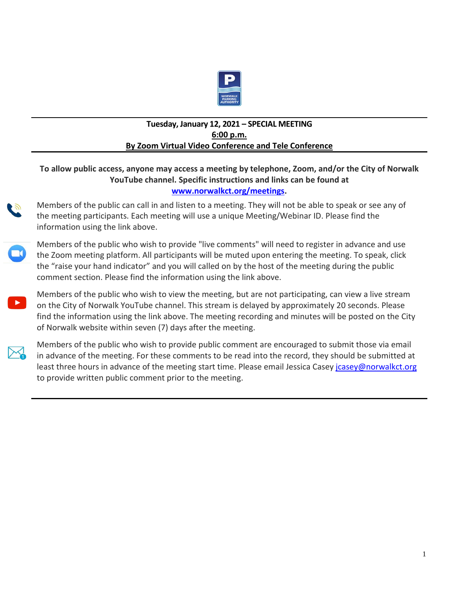

## **Tuesday, January 12, 2021 – SPECIAL MEETING 6:00 p.m. By Zoom Virtual Video Conference and Tele Conference**

## **To allow public access, anyone may access a meeting by telephone, Zoom, and/or the City of Norwalk YouTube channel. Specific instructions and links can be found at www.norwalkct.org/meetings.**

Members of the public can call in and listen to a meeting. They will not be able to speak or see any of the meeting participants. Each meeting will use a unique Meeting/Webinar ID. Please find the information using the link above.



Members of the public who wish to provide "live comments" will need to register in advance and use the Zoom meeting platform. All participants will be muted upon entering the meeting. To speak, click the "raise your hand indicator" and you will called on by the host of the meeting during the public comment section. Please find the information using the link above.

Members of the public who wish to view the meeting, but are not participating, can view a live stream on the City of Norwalk YouTube channel. This stream is delayed by approximately 20 seconds. Please find the information using the link above. The meeting recording and minutes will be posted on the City of Norwalk website within seven (7) days after the meeting.



Members of the public who wish to provide public comment are encouraged to submit those via email in advance of the meeting. For these comments to be read into the record, they should be submitted at least three hours in advance of the meeting start time. Please email Jessica Casey jousey@norwalkct.org to provide written public comment prior to the meeting.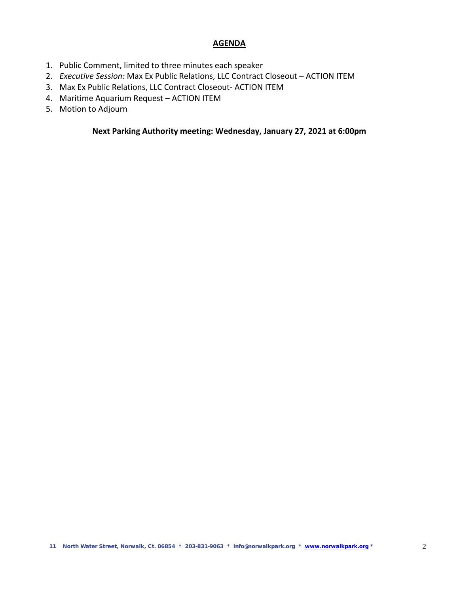## **AGENDA**

- 1. Public Comment, limited to three minutes each speaker
- 2. *Executive Session:* Max Ex Public Relations, LLC Contract Closeout ACTION ITEM
- 3. Max Ex Public Relations, LLC Contract Closeout- ACTION ITEM
- 4. Maritime Aquarium Request ACTION ITEM
- 5. Motion to Adjourn

**Next Parking Authority meeting: Wednesday, January 27, 2021 at 6:00pm**